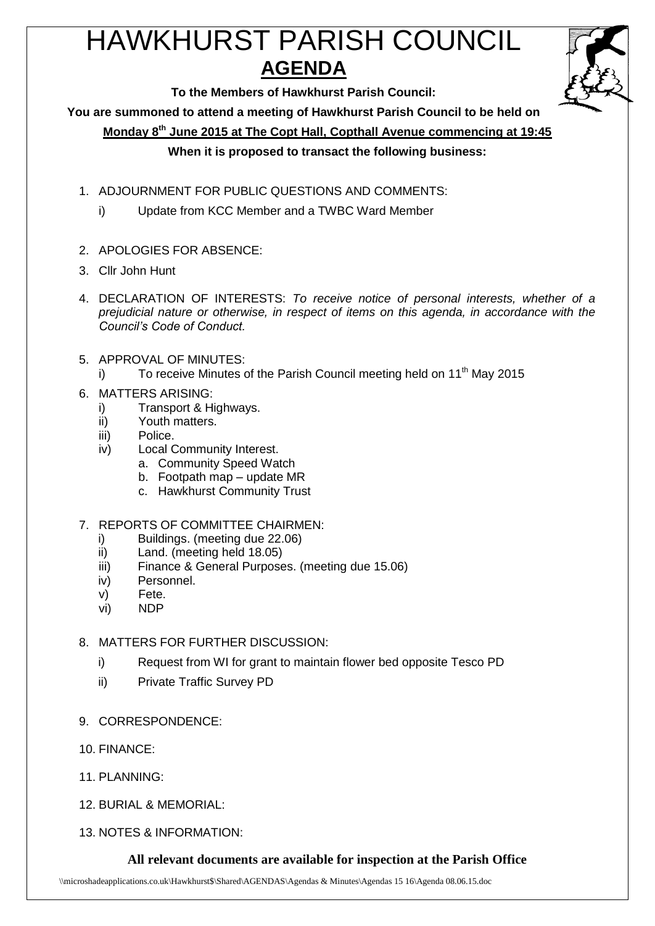# HAWKHURST PARISH COUNCIL **AGENDA**



**To the Members of Hawkhurst Parish Council:**

**You are summoned to attend a meeting of Hawkhurst Parish Council to be held on**

**Monday 8th June 2015 at The Copt Hall, Copthall Avenue commencing at 19:45**

## **When it is proposed to transact the following business:**

- 1. ADJOURNMENT FOR PUBLIC QUESTIONS AND COMMENTS:
	- i) Update from KCC Member and a TWBC Ward Member
- 2. APOLOGIES FOR ABSENCE:
- 3. Cllr John Hunt
- 4. DECLARATION OF INTERESTS: *To receive notice of personal interests, whether of a prejudicial nature or otherwise, in respect of items on this agenda, in accordance with the Council's Code of Conduct.*
- 5. APPROVAL OF MINUTES:
	- i) To receive Minutes of the Parish Council meeting held on  $11<sup>th</sup>$  May 2015

## 6. MATTERS ARISING:

- i) Transport & Highways.
- ii) Youth matters.
- iii) Police.
- iv) Local Community Interest.
	- a. Community Speed Watch
	- b. Footpath map update MR
	- c. Hawkhurst Community Trust

## 7. REPORTS OF COMMITTEE CHAIRMEN:

- i) Buildings. (meeting due 22.06)
- ii) Land. (meeting held 18.05)
- iii) Finance & General Purposes. (meeting due 15.06)
- iv) Personnel.
- v) Fete.
- vi) NDP

# 8. MATTERS FOR FURTHER DISCUSSION:

- i) Request from WI for grant to maintain flower bed opposite Tesco PD
- ii) Private Traffic Survey PD
- 9. CORRESPONDENCE:
- 10. FINANCE:
- 11. PLANNING:
- 12. BURIAL & MEMORIAL:
- 13. NOTES & INFORMATION:

# **All relevant documents are available for inspection at the Parish Office**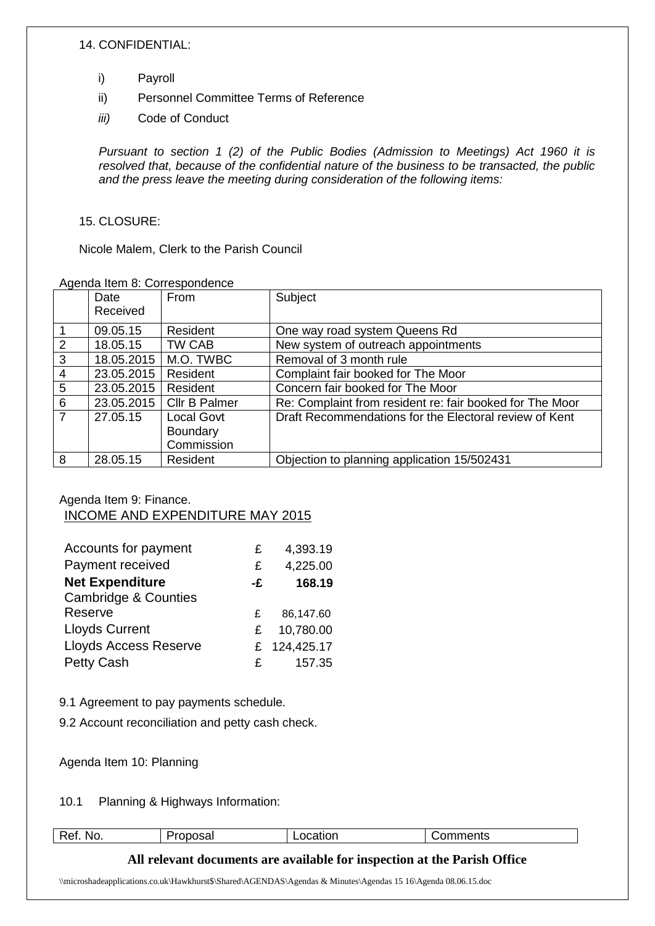#### 14. CONFIDENTIAL:

- i) Payroll
- ii) Personnel Committee Terms of Reference
- *iii)* Code of Conduct

*Pursuant to section 1 (2) of the Public Bodies (Admission to Meetings) Act 1960 it is resolved that, because of the confidential nature of the business to be transacted, the public and the press leave the meeting during consideration of the following items:*

#### 15. CLOSURE:

Nicole Malem, Clerk to the Parish Council

#### Agenda Item 8: Correspondence

|                | , igoriaa itoiri or ooriooporiaorioo |                      |                                                          |
|----------------|--------------------------------------|----------------------|----------------------------------------------------------|
|                | Date                                 | From                 | Subject                                                  |
|                | Received                             |                      |                                                          |
|                |                                      |                      |                                                          |
| $\mathbf 1$    | 09.05.15                             | Resident             | One way road system Queens Rd                            |
| $\overline{2}$ | 18.05.15                             | TW CAB               | New system of outreach appointments                      |
| $\mathbf{3}$   | 18.05.2015                           | M.O. TWBC            | Removal of 3 month rule                                  |
| $\overline{4}$ | 23.05.2015                           | Resident             | Complaint fair booked for The Moor                       |
| 5              | 23.05.2015                           | Resident             | Concern fair booked for The Moor                         |
| 6              | 23.05.2015                           | <b>CIIr B Palmer</b> | Re: Complaint from resident re: fair booked for The Moor |
| $\overline{7}$ | 27.05.15                             | <b>Local Govt</b>    | Draft Recommendations for the Electoral review of Kent   |
|                |                                      | <b>Boundary</b>      |                                                          |
|                |                                      | Commission           |                                                          |
| 8              | 28.05.15                             | Resident             | Objection to planning application 15/502431              |

## Agenda Item 9: Finance. INCOME AND EXPENDITURE MAY 2015

| Accounts for payment            | £  | 4,393.19     |
|---------------------------------|----|--------------|
| Payment received                | £  | 4,225.00     |
| <b>Net Expenditure</b>          | -£ | 168.19       |
| <b>Cambridge &amp; Counties</b> |    |              |
| Reserve                         | £  | 86,147.60    |
| <b>Lloyds Current</b>           | £  | 10,780.00    |
| <b>Lloyds Access Reserve</b>    |    | £ 124,425.17 |
| <b>Petty Cash</b>               | £  | 157.35       |

9.1 Agreement to pay payments schedule.

9.2 Account reconciliation and petty cash check.

Agenda Item 10: Planning

#### 10.1 Planning & Highways Information:

| $\overline{\phantom{0}}$<br>NO.<br>n.<br>. .<br>v<br>__ | $\cdots$<br>эaі | - -<br>100L. |  |
|---------------------------------------------------------|-----------------|--------------|--|
|                                                         |                 |              |  |

## **All relevant documents are available for inspection at the Parish Office**

\\microshadeapplications.co.uk\Hawkhurst\$\Shared\AGENDAS\Agendas & Minutes\Agendas 15 16\Agenda 08.06.15.doc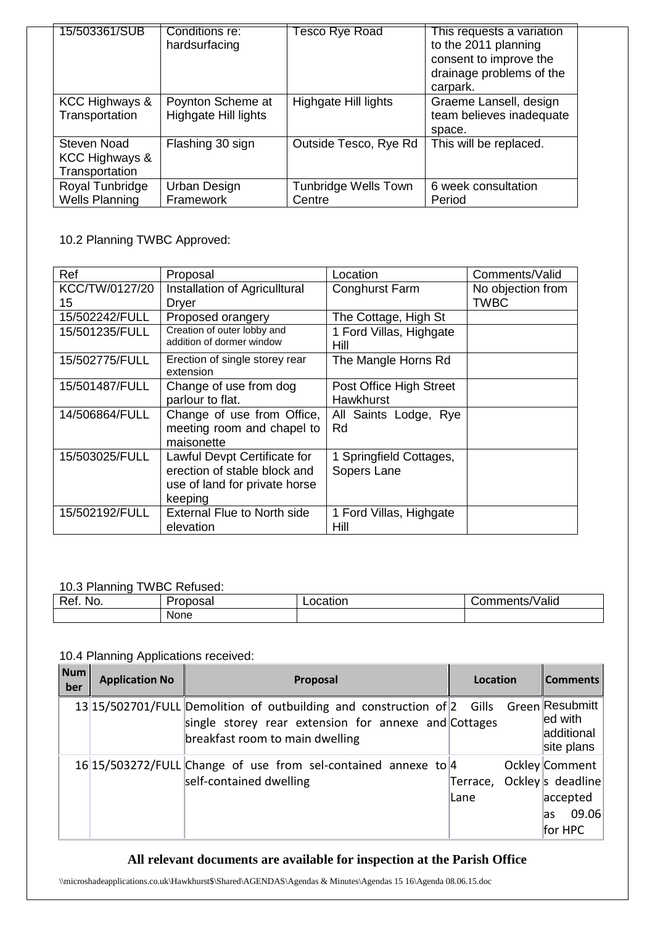| 15/503361/SUB                                              | Conditions re:<br>hardsurfacing           | Tesco Rye Road                 | This requests a variation<br>to the 2011 planning<br>consent to improve the<br>drainage problems of the<br>carpark. |
|------------------------------------------------------------|-------------------------------------------|--------------------------------|---------------------------------------------------------------------------------------------------------------------|
| KCC Highways &<br>Transportation                           | Poynton Scheme at<br>Highgate Hill lights | Highgate Hill lights           | Graeme Lansell, design<br>team believes inadequate<br>space.                                                        |
| Steven Noad<br><b>KCC Highways &amp;</b><br>Transportation | Flashing 30 sign                          | Outside Tesco, Rye Rd          | This will be replaced.                                                                                              |
| Royal Tunbridge<br><b>Wells Planning</b>                   | Urban Design<br>Framework                 | Tunbridge Wells Town<br>Centre | 6 week consultation<br>Period                                                                                       |

10.2 Planning TWBC Approved:

| Ref                  | Proposal                                                                                                 | Location                                    | Comments/Valid            |
|----------------------|----------------------------------------------------------------------------------------------------------|---------------------------------------------|---------------------------|
| KCC/TW/0127/20<br>15 | Installation of Agriculltural<br>Dryer                                                                   | <b>Conghurst Farm</b>                       | No objection from<br>TWBC |
| 15/502242/FULL       | Proposed orangery                                                                                        | The Cottage, High St                        |                           |
| 15/501235/FULL       | Creation of outer lobby and<br>addition of dormer window                                                 | 1 Ford Villas, Highgate<br>Hill             |                           |
| 15/502775/FULL       | Erection of single storey rear<br>extension                                                              | The Mangle Horns Rd                         |                           |
| 15/501487/FULL       | Change of use from dog<br>parlour to flat.                                                               | Post Office High Street<br><b>Hawkhurst</b> |                           |
| 14/506864/FULL       | Change of use from Office,<br>meeting room and chapel to<br>maisonette                                   | All Saints Lodge, Rye<br>Rd                 |                           |
| 15/503025/FULL       | Lawful Devpt Certificate for<br>erection of stable block and<br>use of land for private horse<br>keeping | 1 Springfield Cottages,<br>Sopers Lane      |                           |
| 15/502192/FULL       | <b>External Flue to North side</b><br>elevation                                                          | 1 Ford Villas, Highgate<br>Hill             |                           |

#### 10.3 Planning TWBC Refused:

| Ret.<br>'roposai<br>NO. |      | ocation | .<br>/Valid<br>/mments |  |
|-------------------------|------|---------|------------------------|--|
|                         | None |         |                        |  |

#### 10.4 Planning Applications received:

| <b>Num</b><br>ber | <b>Application No</b> | Proposal                                                                                                                                                                           | Location          | <b>Comments</b>                                                           |
|-------------------|-----------------------|------------------------------------------------------------------------------------------------------------------------------------------------------------------------------------|-------------------|---------------------------------------------------------------------------|
|                   |                       | 13 15/502701/FULL Demolition of outbuilding and construction of 2 Gills Green Resubmitt<br>single storey rear extension for annexe and Cottages<br>breakfast room to main dwelling |                   | ed with<br>additional<br>site plans                                       |
|                   |                       | 16 15/503272/FULL Change of use from sel-contained annexe to 4<br>self-contained dwelling                                                                                          | Terrace,<br>lLane | Ockley Comment<br>Ockley s deadline<br>accepted<br>09.06<br>as<br>for HPC |

# **All relevant documents are available for inspection at the Parish Office**

\\microshadeapplications.co.uk\Hawkhurst\$\Shared\AGENDAS\Agendas & Minutes\Agendas 15 16\Agenda 08.06.15.doc